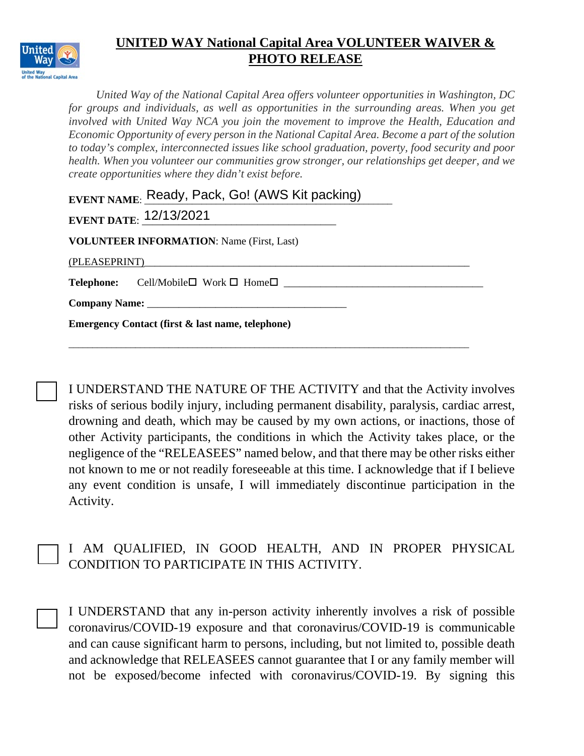

*United Way of the National Capital Area offers volunteer opportunities in Washington, DC for groups and individuals, as well as opportunities in the surrounding areas. When you get involved with United Way NCA you join the movement to improve the Health, Education and Economic Opportunity of every person in the National Capital Area. Become a part of the solution to today's complex, interconnected issues like school graduation, poverty, food security and poor health. When you volunteer our communities grow stronger, our relationships get deeper, and we create opportunities where they didn't exist before.* 

|                                                             | EVENT NAME: Ready, Pack, Go! (AWS Kit packing)                        |  |  |  |  |  |  |  |
|-------------------------------------------------------------|-----------------------------------------------------------------------|--|--|--|--|--|--|--|
|                                                             | <b>EVENT DATE: 12/13/2021</b>                                         |  |  |  |  |  |  |  |
|                                                             | <b>VOLUNTEER INFORMATION: Name (First, Last)</b>                      |  |  |  |  |  |  |  |
| (PLEASEPRINT)                                               |                                                                       |  |  |  |  |  |  |  |
|                                                             | <b>Telephone:</b> Cell/Mobile $\square$ Work $\square$ Home $\square$ |  |  |  |  |  |  |  |
|                                                             |                                                                       |  |  |  |  |  |  |  |
| <b>Emergency Contact (first &amp; last name, telephone)</b> |                                                                       |  |  |  |  |  |  |  |
|                                                             |                                                                       |  |  |  |  |  |  |  |

I UNDERSTAND THE NATURE OF THE ACTIVITY and that the Activity involves risks of serious bodily injury, including permanent disability, paralysis, cardiac arrest, drowning and death, which may be caused by my own actions, or inactions, those of other Activity participants, the conditions in which the Activity takes place, or the negligence of the "RELEASEES" named below, and that there may be other risks either not known to me or not readily foreseeable at this time. I acknowledge that if I believe any event condition is unsafe, I will immediately discontinue participation in the Activity.

|                                            | I AM QUALIFIED, IN GOOD HEALTH, AND IN PROPER PHYSICAL |  |  |  |  |  |  |  |  |  |  |
|--------------------------------------------|--------------------------------------------------------|--|--|--|--|--|--|--|--|--|--|
| CONDITION TO PARTICIPATE IN THIS ACTIVITY. |                                                        |  |  |  |  |  |  |  |  |  |  |

I UNDERSTAND that any in-person activity inherently involves a risk of possible coronavirus/COVID-19 exposure and that coronavirus/COVID-19 is communicable and can cause significant harm to persons, including, but not limited to, possible death and acknowledge that RELEASEES cannot guarantee that I or any family member will not be exposed/become infected with coronavirus/COVID-19. By signing this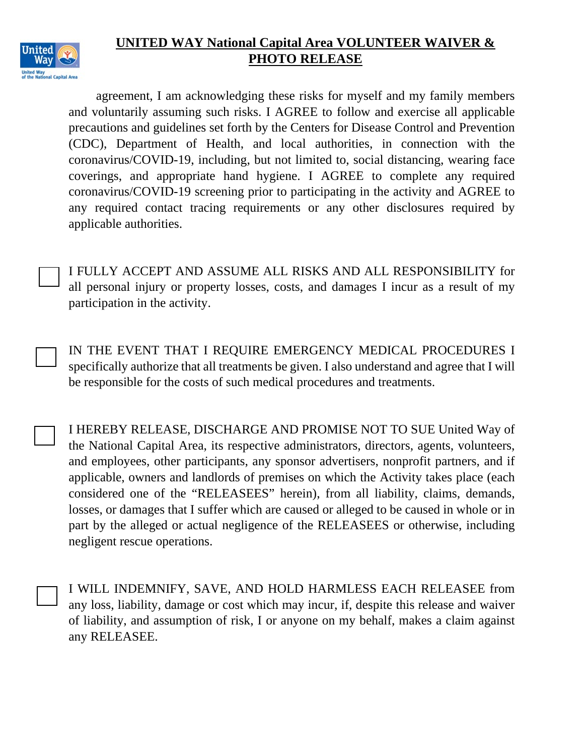

agreement, I am acknowledging these risks for myself and my family members and voluntarily assuming such risks. I AGREE to follow and exercise all applicable precautions and guidelines set forth by the Centers for Disease Control and Prevention (CDC), Department of Health, and local authorities, in connection with the coronavirus/COVID-19, including, but not limited to, social distancing, wearing face coverings, and appropriate hand hygiene. I AGREE to complete any required coronavirus/COVID-19 screening prior to participating in the activity and AGREE to any required contact tracing requirements or any other disclosures required by applicable authorities.

I FULLY ACCEPT AND ASSUME ALL RISKS AND ALL RESPONSIBILITY for all personal injury or property losses, costs, and damages I incur as a result of my participation in the activity.

IN THE EVENT THAT I REQUIRE EMERGENCY MEDICAL PROCEDURES I specifically authorize that all treatments be given. I also understand and agree that I will be responsible for the costs of such medical procedures and treatments.

I HEREBY RELEASE, DISCHARGE AND PROMISE NOT TO SUE United Way of the National Capital Area, its respective administrators, directors, agents, volunteers, and employees, other participants, any sponsor advertisers, nonprofit partners, and if applicable, owners and landlords of premises on which the Activity takes place (each considered one of the "RELEASEES" herein), from all liability, claims, demands, losses, or damages that I suffer which are caused or alleged to be caused in whole or in part by the alleged or actual negligence of the RELEASEES or otherwise, including negligent rescue operations.

I WILL INDEMNIFY, SAVE, AND HOLD HARMLESS EACH RELEASEE from any loss, liability, damage or cost which may incur, if, despite this release and waiver of liability, and assumption of risk, I or anyone on my behalf, makes a claim against any RELEASEE.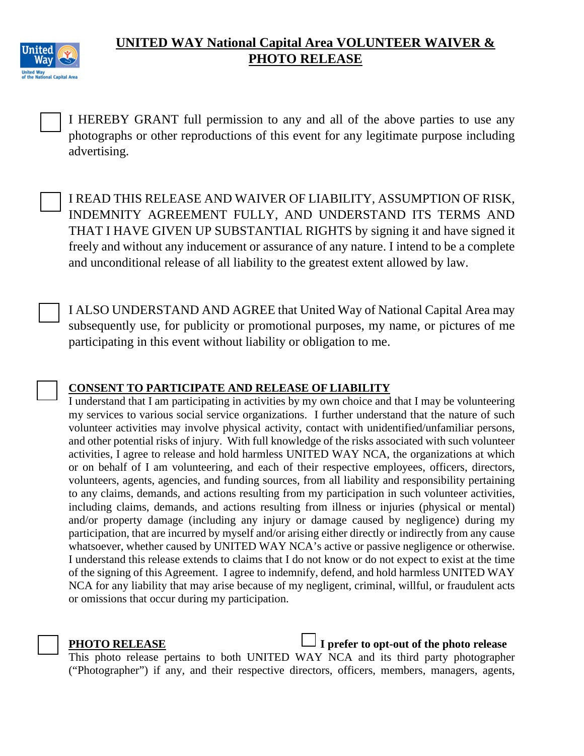

I HEREBY GRANT full permission to any and all of the above parties to use any photographs or other reproductions of this event for any legitimate purpose including advertising.

I READ THIS RELEASE AND WAIVER OF LIABILITY, ASSUMPTION OF RISK, INDEMNITY AGREEMENT FULLY, AND UNDERSTAND ITS TERMS AND THAT I HAVE GIVEN UP SUBSTANTIAL RIGHTS by signing it and have signed it freely and without any inducement or assurance of any nature. I intend to be a complete and unconditional release of all liability to the greatest extent allowed by law.

I ALSO UNDERSTAND AND AGREE that United Way of National Capital Area may subsequently use, for publicity or promotional purposes, my name, or pictures of me participating in this event without liability or obligation to me.

### **CONSENT TO PARTICIPATE AND RELEASE OF LIABILITY**

I understand that I am participating in activities by my own choice and that I may be volunteering my services to various social service organizations. I further understand that the nature of such volunteer activities may involve physical activity, contact with unidentified/unfamiliar persons, and other potential risks of injury. With full knowledge of the risks associated with such volunteer activities, I agree to release and hold harmless UNITED WAY NCA, the organizations at which or on behalf of I am volunteering, and each of their respective employees, officers, directors, volunteers, agents, agencies, and funding sources, from all liability and responsibility pertaining to any claims, demands, and actions resulting from my participation in such volunteer activities, including claims, demands, and actions resulting from illness or injuries (physical or mental) and/or property damage (including any injury or damage caused by negligence) during my participation, that are incurred by myself and/or arising either directly or indirectly from any cause whatsoever, whether caused by UNITED WAY NCA's active or passive negligence or otherwise. I understand this release extends to claims that I do not know or do not expect to exist at the time of the signing of this Agreement. I agree to indemnify, defend, and hold harmless UNITED WAY NCA for any liability that may arise because of my negligent, criminal, willful, or fraudulent acts or omissions that occur during my participation.



**PHOTO RELEASE** I prefer to opt-out of the photo release

This photo release pertains to both UNITED WAY NCA and its third party photographer ("Photographer") if any, and their respective directors, officers, members, managers, agents,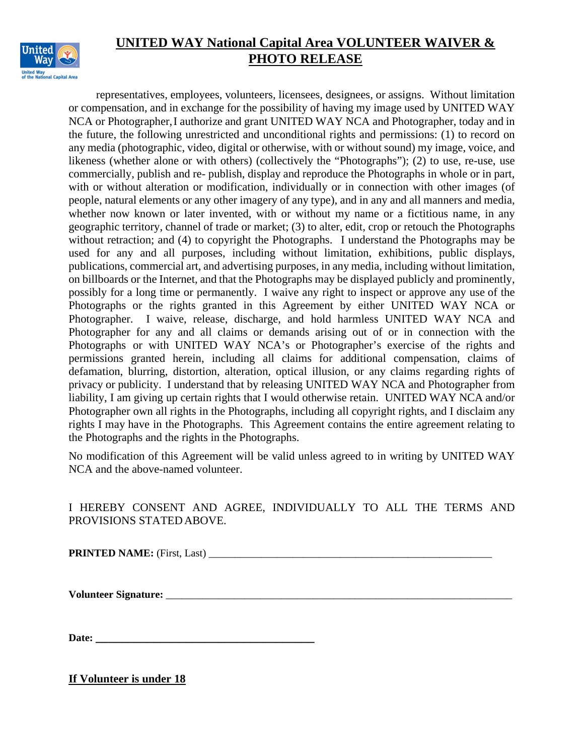

representatives, employees, volunteers, licensees, designees, or assigns. Without limitation or compensation, and in exchange for the possibility of having my image used by UNITED WAY NCA or Photographer, I authorize and grant UNITED WAY NCA and Photographer, today and in the future, the following unrestricted and unconditional rights and permissions: (1) to record on any media (photographic, video, digital or otherwise, with or without sound) my image, voice, and likeness (whether alone or with others) (collectively the "Photographs"); (2) to use, re-use, use commercially, publish and re- publish, display and reproduce the Photographs in whole or in part, with or without alteration or modification, individually or in connection with other images (of people, natural elements or any other imagery of any type), and in any and all manners and media, whether now known or later invented, with or without my name or a fictitious name, in any geographic territory, channel of trade or market; (3) to alter, edit, crop or retouch the Photographs without retraction; and (4) to copyright the Photographs. I understand the Photographs may be used for any and all purposes, including without limitation, exhibitions, public displays, publications, commercial art, and advertising purposes, in any media, including without limitation, on billboards or the Internet, and that the Photographs may be displayed publicly and prominently, possibly for a long time or permanently. I waive any right to inspect or approve any use of the Photographs or the rights granted in this Agreement by either UNITED WAY NCA or Photographer. I waive, release, discharge, and hold harmless UNITED WAY NCA and Photographer for any and all claims or demands arising out of or in connection with the Photographs or with UNITED WAY NCA's or Photographer's exercise of the rights and permissions granted herein, including all claims for additional compensation, claims of defamation, blurring, distortion, alteration, optical illusion, or any claims regarding rights of privacy or publicity. I understand that by releasing UNITED WAY NCA and Photographer from liability, I am giving up certain rights that I would otherwise retain. UNITED WAY NCA and/or Photographer own all rights in the Photographs, including all copyright rights, and I disclaim any rights I may have in the Photographs. This Agreement contains the entire agreement relating to the Photographs and the rights in the Photographs.

No modification of this Agreement will be valid unless agreed to in writing by UNITED WAY NCA and the above-named volunteer.

#### I HEREBY CONSENT AND AGREE, INDIVIDUALLY TO ALL THE TERMS AND PROVISIONS STATEDABOVE.

**PRINTED NAME:** (First, Last)

**Volunteer Signature:** \_\_\_\_\_\_\_\_\_\_\_\_\_\_\_\_\_\_\_\_\_\_\_\_\_\_\_\_\_\_\_\_\_\_\_\_\_\_\_\_\_\_\_\_\_\_\_\_\_\_\_\_\_\_\_\_\_\_\_\_\_\_\_\_\_\_

Date:

**If Volunteer is under 18**